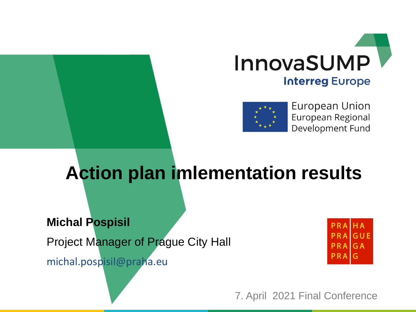



**European Union** European Regional Development Fund

## **Action plan imlementation results**

#### **Michal Pospisil**

Project Manager of Prague City Hall

michal.pospisil@praha.eu



7. April 2021 Final Conference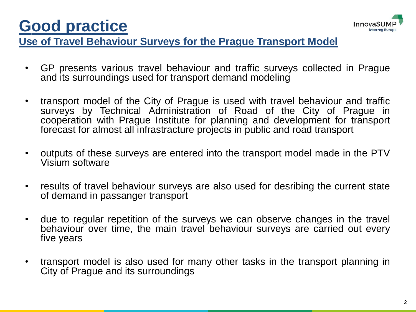



#### **Use of Travel Behaviour Surveys for the Prague Transport Model**

- GP presents various travel behaviour and traffic surveys collected in Prague and its surroundings used for transport demand modeling
- transport model of the City of Prague is used with travel behaviour and traffic surveys by Technical Administration of Road of the City of Prague in cooperation with Prague Institute for planning and development for transport forecast for almost all infrastracture projects in public and road transport
- outputs of these surveys are entered into the transport model made in the PTV Visium software
- results of travel behaviour surveys are also used for desribing the current state of demand in passanger transport
- due to regular repetition of the surveys we can observe changes in the travel behaviour over time, the main travel behaviour surveys are carried out every five years
- transport model is also used for many other tasks in the transport planning in City of Prague and its surroundings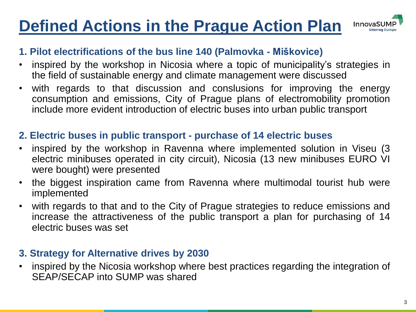## **Defined Actions in the Prague Action Plan**



#### **1. Pilot electrifications of the bus line 140 (Palmovka - Miškovice)**

- inspired by the workshop in Nicosia where a topic of municipality's strategies in the field of sustainable energy and climate management were discussed
- with regards to that discussion and conslusions for improving the energy consumption and emissions, City of Prague plans of electromobility promotion include more evident introduction of electric buses into urban public transport

#### **2. Electric buses in public transport - purchase of 14 electric buses**

- inspired by the workshop in Ravenna where implemented solution in Viseu (3 electric minibuses operated in city circuit), Nicosia (13 new minibuses EURO VI were bought) were presented
- the biggest inspiration came from Ravenna where multimodal tourist hub were implemented
- with regards to that and to the City of Prague strategies to reduce emissions and increase the attractiveness of the public transport a plan for purchasing of 14 electric buses was set

#### **3. Strategy for Alternative drives by 2030**

• inspired by the Nicosia workshop where best practices regarding the integration of SEAP/SECAP into SUMP was shared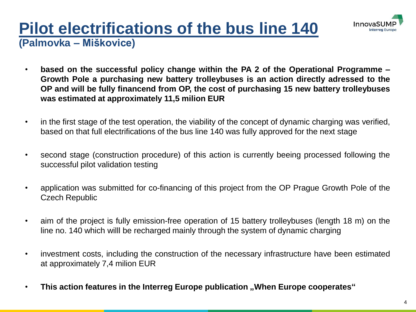

### **Pilot electrifications of the bus line 140 (Palmovka – Miškovice)**

- **based on the successful policy change within the PA 2 of the Operational Programme – Growth Pole a purchasing new battery trolleybuses is an action directly adressed to the OP and will be fully financend from OP, the cost of purchasing 15 new battery trolleybuses was estimated at approximately 11,5 milion EUR**
- in the first stage of the test operation, the viability of the concept of dynamic charging was verified, based on that full electrifications of the bus line 140 was fully approved for the next stage
- second stage (construction procedure) of this action is currently beeing processed following the successful pilot validation testing
- application was submitted for co-financing of this project from the OP Prague Growth Pole of the Czech Republic
- aim of the project is fully emission-free operation of 15 battery trolleybuses (length 18 m) on the line no. 140 which willl be recharged mainly through the system of dynamic charging
- investment costs, including the construction of the necessary infrastructure have been estimated at approximately 7,4 milion EUR
- **This action features in the Interreg Europe publication "When Europe cooperates"**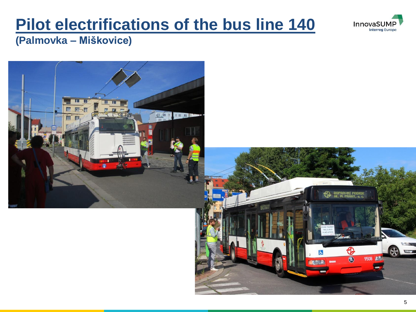## **Pilot electrifications of the bus line 140**



**(Palmovka – Miškovice)**

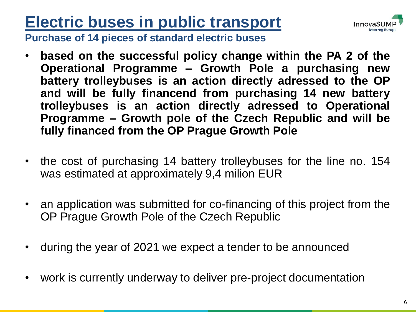## **Electric buses in public transport**



**Purchase of 14 pieces of standard electric buses**

- **based on the successful policy change within the PA 2 of the Operational Programme – Growth Pole a purchasing new battery trolleybuses is an action directly adressed to the OP and will be fully financend from purchasing 14 new battery trolleybuses is an action directly adressed to Operational Programme – Growth pole of the Czech Republic and will be fully financed from the OP Prague Growth Pole**
- the cost of purchasing 14 battery trolleybuses for the line no. 154 was estimated at approximately 9,4 milion EUR
- an application was submitted for co-financing of this project from the OP Prague Growth Pole of the Czech Republic
- during the year of 2021 we expect a tender to be announced
- work is currently underway to deliver pre-project documentation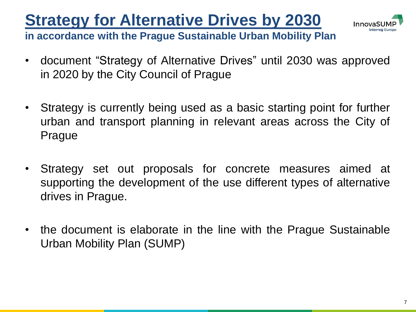## **Strategy for Alternative Drives by 2030**



**in accordance with the Prague Sustainable Urban Mobility Plan**

- document "Strategy of Alternative Drives" until 2030 was approved in 2020 by the City Council of Prague
- Strategy is currently being used as a basic starting point for further urban and transport planning in relevant areas across the City of Prague
- Strategy set out proposals for concrete measures aimed at supporting the development of the use different types of alternative drives in Prague.
- the document is elaborate in the line with the Prague Sustainable Urban Mobility Plan (SUMP)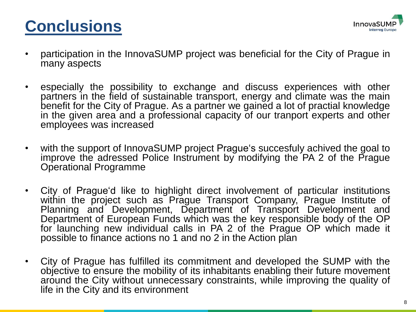



- participation in the InnovaSUMP project was beneficial for the City of Prague in many aspects
- especially the possibility to exchange and discuss experiences with other partners in the field of sustainable transport, energy and climate was the main benefit for the City of Prague. As a partner we gained a lot of practial knowledge in the given area and a professional capacity of our tranport experts and other employees was increased
- with the support of InnovaSUMP project Prague's succesfuly achived the goal to improve the adressed Police Instrument by modifying the PA 2 of the Prague Operational Programme
- City of Prague'd like to highlight direct involvement of particular institutions within the project such as Prague Transport Company, Prague Institute of Planning and Development, Department of Transport Development and Department of European Funds which was the key responsible body of the OP for launching new individual calls in PA 2 of the Prague OP which made it possible to finance actions no 1 and no 2 in the Action plan
- City of Prague has fulfilled its commitment and developed the SUMP with the objective to ensure the mobility of its inhabitants enabling their future movement around the City without unnecessary constraints, while improving the quality of life in the City and its environment